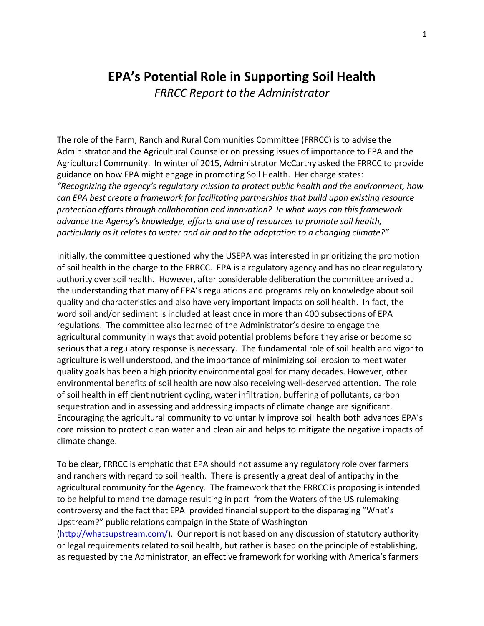# **EPA's Potential Role in Supporting Soil Health**

*FRRCC Report to the Administrator*

The role of the Farm, Ranch and Rural Communities Committee (FRRCC) is to advise the Administrator and the Agricultural Counselor on pressing issues of importance to EPA and the Agricultural Community. In winter of 2015, Administrator McCarthy asked the FRRCC to provide guidance on how EPA might engage in promoting Soil Health. Her charge states: *"Recognizing the agency's regulatory mission to protect public health and the environment, how can EPA best create a framework for facilitating partnerships that build upon existing resource protection efforts through collaboration and innovation? In what ways can this framework advance the Agency's knowledge, efforts and use of resources to promote soil health, particularly as it relates to water and air and to the adaptation to a changing climate?"*

Initially, the committee questioned why the USEPA was interested in prioritizing the promotion of soil health in the charge to the FRRCC. EPA is a regulatory agency and has no clear regulatory authority over soil health. However, after considerable deliberation the committee arrived at the understanding that many of EPA's regulations and programs rely on knowledge about soil quality and characteristics and also have very important impacts on soil health. In fact, the word soil and/or sediment is included at least once in more than 400 subsections of EPA regulations. The committee also learned of the Administrator's desire to engage the agricultural community in ways that avoid potential problems before they arise or become so serious that a regulatory response is necessary. The fundamental role of soil health and vigor to agriculture is well understood, and the importance of minimizing soil erosion to meet water quality goals has been a high priority environmental goal for many decades. However, other environmental benefits of soil health are now also receiving well-deserved attention. The role of soil health in efficient nutrient cycling, water infiltration, buffering of pollutants, carbon sequestration and in assessing and addressing impacts of climate change are significant. Encouraging the agricultural community to voluntarily improve soil health both advances EPA's core mission to protect clean water and clean air and helps to mitigate the negative impacts of climate change.

To be clear, FRRCC is emphatic that EPA should not assume any regulatory role over farmers and ranchers with regard to soil health. There is presently a great deal of antipathy in the agricultural community for the Agency. The framework that the FRRCC is proposing is intended to be helpful to mend the damage resulting in part from the Waters of the US rulemaking controversy and the fact that EPA provided financial support to the disparaging "What's Upstream?" public relations campaign in the State of Washington [\(http://whatsupstream.com/\)](http://whatsupstream.com/). Our report is not based on any discussion of statutory authority or legal requirements related to soil health, but rather is based on the principle of establishing, as requested by the Administrator, an effective framework for working with America's farmers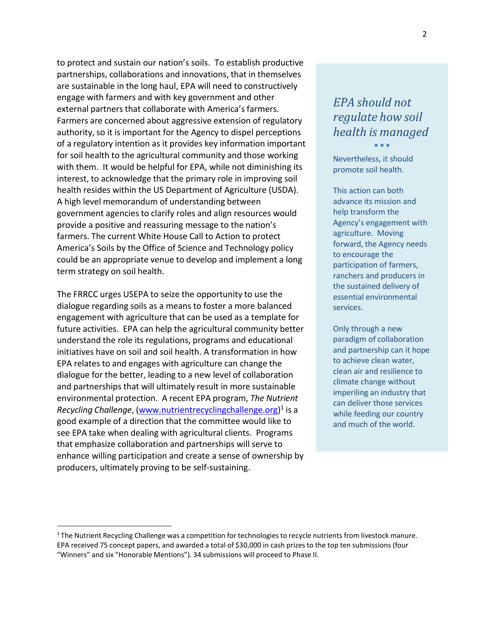to protect and sustain our nation's soils. To establish productive partnerships, collaborations and innovations, that in themselves are sustainable in the long haul, EPA will need to constructively engage with farmers and with key government and other external partners that collaborate with America's farmers. Farmers are concerned about aggressive extension of regulatory authority, so it is important for the Agency to dispel perceptions of a regulatory intention as it provides key information important for soil health to the agricultural community and those working with them. It would be helpful for EPA, while not diminishing its interest, to acknowledge that the primary role in improving soil health resides within the US Department of Agriculture (USDA). A high level memorandum of understanding between government agencies to clarify roles and align resources would provide a positive and reassuring message to the nation's farmers. The current White House Call to Action to protect America's Soils by the Office of Science and Technology policy could be an appropriate venue to develop and implement a long term strategy on soil health.

The FRRCC urges USEPA to seize the opportunity to use the dialogue regarding soils as a means to foster a more balanced engagement with agriculture that can be used as a template for future activities. EPA can help the agricultural community better understand the role its regulations, programs and educational initiatives have on soil and soil health. A transformation in how EPA relates to and engages with agriculture can change the dialogue for the better, leading to a new level of collaboration and partnerships that will ultimately result in more sustainable environmental protection. A recent EPA program, *The Nutrient Recycling Challenge*, [\(www.nutrientrecyclingchallenge.org\)](http://www.nutrientrecyclingchallenge.org/) 1 is a good example of a direction that the committee would like to see EPA take when dealing with agricultural clients. Programs that emphasize collaboration and partnerships will serve to enhance willing participation and create a sense of ownership by producers, ultimately proving to be self-sustaining.

## *EPA should not regulate how soil health is managed*  $\bullet$   $\bullet$   $\bullet$

Nevertheless, it should promote soil health.

This action can both advance its mission and help transform the Agency's engagement with agriculture. Moving forward, the Agency needs to encourage the participation of farmers, ranchers and producers in the sustained delivery of essential environmental services.

Only through a new paradigm of collaboration and partnership can it hope to achieve clean water, clean air and resilience to climate change without imperiling an industry that can deliver those services while feeding our country and much of the world.

<sup>&</sup>lt;sup>1</sup> The Nutrient Recycling Challenge was a competition for technologies to recycle nutrients from livestock manure. EPA received 75 concept papers, and awarded a total of \$30,000 in cash prizesto the top ten submissions(four "Winners" and six "Honorable Mentions"). 34 submissions will proceed to Phase II.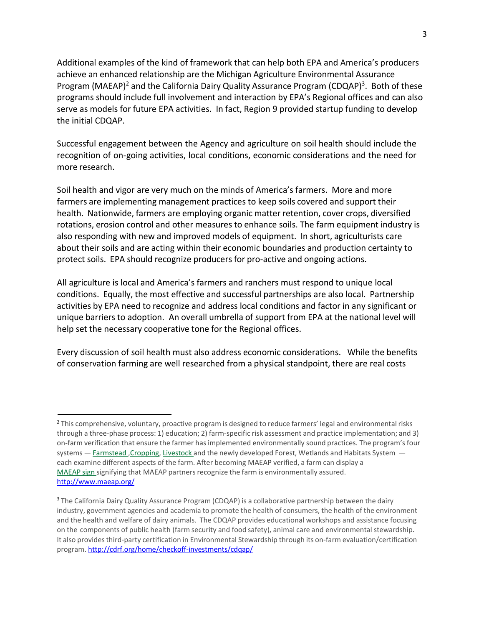Additional examples of the kind of framework that can help both EPA and America's producers achieve an enhanced relationship are the Michigan Agriculture Environmental Assurance Program (MAEAP)<sup>2</sup> and the California Dairy Quality Assurance Program (CDQAP)<sup>3</sup>. Both of these programs should include full involvement and interaction by EPA's Regional offices and can also serve as models for future EPA activities. In fact, Region 9 provided startup funding to develop the initial CDQAP.

Successful engagement between the Agency and agriculture on soil health should include the recognition of on-going activities, local conditions, economic considerations and the need for more research.

Soil health and vigor are very much on the minds of America's farmers. More and more farmers are implementing management practices to keep soils covered and support their health. Nationwide, farmers are employing organic matter retention, cover crops, diversified rotations, erosion control and other measures to enhance soils. The farm equipment industry is also responding with new and improved models of equipment. In short, agriculturists care about their soils and are acting within their economic boundaries and production certainty to protect soils. EPA should recognize producersfor pro-active and ongoing actions.

All agriculture is local and America's farmers and ranchers must respond to unique local conditions. Equally, the most effective and successful partnerships are also local. Partnership activities by EPA need to recognize and address local conditions and factor in any significant or unique barriers to adoption. An overall umbrella of support from EPA at the national level will help set the necessary cooperative tone for the Regional offices.

Every discussion of soil health must also address economic considerations. While the benefits of conservation farming are well researched from a physical standpoint, there are real costs

<sup>&</sup>lt;sup>2</sup> This comprehensive, voluntary, proactive program is designed to reduce farmers' legal and environmental risks through a three-phase process: 1) education; 2) farm-specific risk assessment and practice implementation; and 3) on-farm verification that ensure the farmer has implemented environmentally sound practices. The program's four systems - [Farmstead](http://www.maeap.org/get_verified/farmstead_system/) , Cropping, [Livestock](http://www.maeap.org/get_verified/livestock_system/) and the newly developed Forest, Wetlands and Habitats System each examine different aspects of the farm. After becoming MAEAP verified, a farm can display a [MAEAP](http://www.maeap.org/get_verified/verification_pays/) sign signifying that MAEAP partners recognize the farm is environmentally assured. <http://www.maeap.org/>

<sup>&</sup>lt;sup>3</sup> The California Dairy Quality Assurance Program (CDQAP) is a collaborative partnership between the dairy industry, government agencies and academia to promote the health of consumers, the health of the environment and the health and welfare of dairy animals. The CDQAP provides educational workshops and assistance focusing on the components of public health (farm security and food safety), animal care and environmental stewardship. It also providesthird-party certification in Environmental Stewardship through its on-farm evaluation/certification program. <http://cdrf.org/home/checkoff-investments/cdqap/>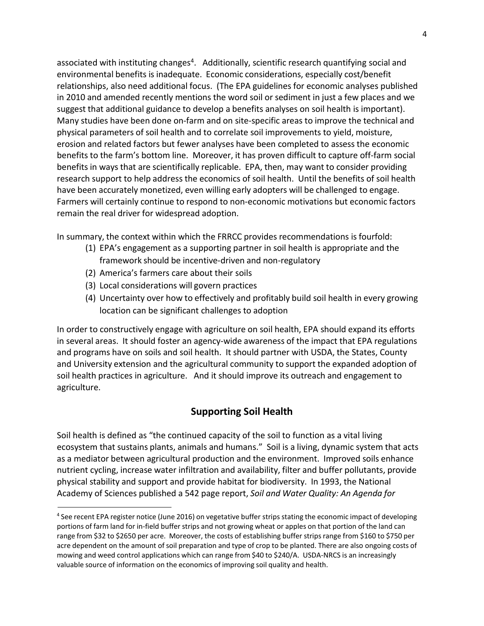associated with instituting changes<sup>4</sup>. Additionally, scientific research quantifying social and environmental benefits is inadequate. Economic considerations, especially cost/benefit relationships, also need additional focus. (The EPA guidelines for economic analyses published in 2010 and amended recently mentions the word soil or sediment in just a few places and we suggest that additional guidance to develop a benefits analyses on soil health is important). Many studies have been done on-farm and on site-specific areas to improve the technical and physical parameters of soil health and to correlate soil improvements to yield, moisture, erosion and related factors but fewer analyses have been completed to assess the economic benefits to the farm's bottom line. Moreover, it has proven difficult to capture off-farm social benefits in ways that are scientifically replicable. EPA, then, may want to consider providing research support to help address the economics of soil health. Until the benefits of soil health have been accurately monetized, even willing early adopters will be challenged to engage. Farmers will certainly continue to respond to non-economic motivations but economic factors remain the real driver for widespread adoption.

In summary, the context within which the FRRCC provides recommendations is fourfold:

- (1) EPA's engagement as a supporting partner in soil health is appropriate and the framework should be incentive-driven and non-regulatory
- (2) America's farmers care about their soils
- (3) Local considerations will govern practices
- (4) Uncertainty over how to effectively and profitably build soil health in every growing location can be significant challenges to adoption

In order to constructively engage with agriculture on soil health, EPA should expand its efforts in several areas. It should foster an agency-wide awareness of the impact that EPA regulations and programs have on soils and soil health. It should partner with USDA, the States, County and University extension and the agricultural community to support the expanded adoption of soil health practices in agriculture. And it should improve its outreach and engagement to agriculture.

## **Supporting Soil Health**

Soil health is defined as "the continued capacity of the soil to function as a vital living ecosystem that sustains plants, animals and humans." Soil is a living, dynamic system that acts as a mediator between agricultural production and the environment. Improved soils enhance nutrient cycling, increase water infiltration and availability, filter and buffer pollutants, provide physical stability and support and provide habitat for biodiversity. In 1993, the National Academy of Sciences published a 542 page report, *Soil and Water Quality: An Agenda for*

<sup>&</sup>lt;sup>4</sup> See recent EPA register notice (June 2016) on vegetative buffer strips stating the economic impact of developing portions of farm land for in-field buffer strips and not growing wheat or apples on that portion of the land can range from \$32 to \$2650 per acre. Moreover, the costs of establishing buffer stripsrange from \$160 to \$750 per acre dependent on the amount of soil preparation and type of crop to be planted. There are also ongoing costs of mowing and weed control applications which can range from \$40 to \$240/A. USDA-NRCS is an increasingly valuable source of information on the economics of improving soil quality and health.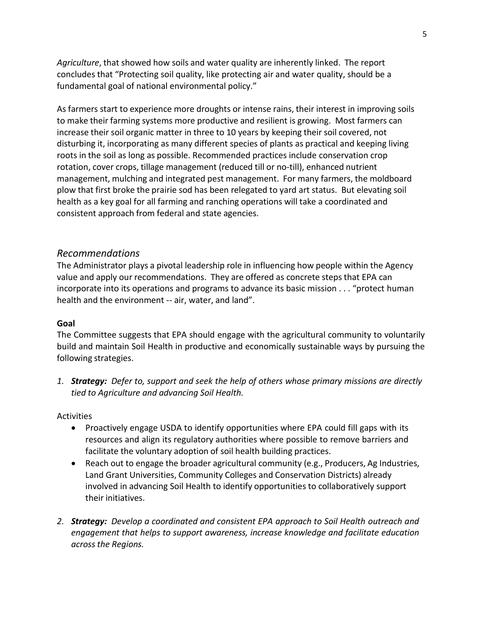*Agriculture*, that showed how soils and water quality are inherently linked. The report concludes that "Protecting soil quality, like protecting air and water quality, should be a fundamental goal of national environmental policy."

As farmers start to experience more droughts or intense rains, their interest in improving soils to make their farming systems more productive and resilient is growing. Most farmers can increase their soil organic matter in three to 10 years by keeping their soil covered, not disturbing it, incorporating as many different species of plants as practical and keeping living roots in the soil as long as possible. Recommended practices include conservation crop rotation, cover crops, tillage management (reduced till or no-till), enhanced nutrient management, mulching and integrated pest management. For many farmers, the moldboard plow that first broke the prairie sod has been relegated to yard art status. But elevating soil health as a key goal for all farming and ranching operations will take a coordinated and consistent approach from federal and state agencies.

## *Recommendations*

The Administrator plays a pivotal leadership role in influencing how people within the Agency value and apply our recommendations. They are offered as concrete steps that EPA can incorporate into its operations and programs to advance its basic mission . . . "protect human health and the environment -- air, water, and land".

#### **Goal**

The Committee suggests that EPA should engage with the agricultural community to voluntarily build and maintain Soil Health in productive and economically sustainable ways by pursuing the following strategies.

*1. Strategy: Defer to, support and seek the help of others whose primary missions are directly tied to Agriculture and advancing Soil Health.*

#### Activities

- Proactively engage USDA to identify opportunities where EPA could fill gaps with its resources and align its regulatory authorities where possible to remove barriers and facilitate the voluntary adoption of soil health building practices.
- Reach out to engage the broader agricultural community (e.g., Producers, Ag Industries, Land Grant Universities, Community Colleges and Conservation Districts) already involved in advancing Soil Health to identify opportunities to collaboratively support their initiatives.
- *2. Strategy: Develop a coordinated and consistent EPA approach to Soil Health outreach and engagement that helps to support awareness, increase knowledge and facilitate education across the Regions.*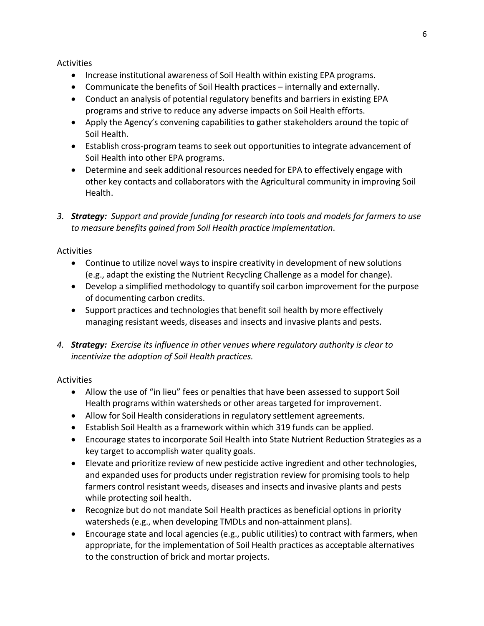#### Activities

- **•** Increase institutional awareness of Soil Health within existing EPA programs.
- Communicate the benefits of Soil Health practices internally and externally.
- Conduct an analysis of potential regulatory benefits and barriers in existing EPA programs and strive to reduce any adverse impacts on Soil Health efforts.
- Apply the Agency's convening capabilities to gather stakeholders around the topic of Soil Health.
- Establish cross-program teams to seek out opportunities to integrate advancement of Soil Health into other EPA programs.
- Determine and seek additional resources needed for EPA to effectively engage with other key contacts and collaborators with the Agricultural community in improving Soil Health.
- *3. Strategy: Support and provide funding for research into tools and models for farmers to use to measure benefits gained from Soil Health practice implementation*.

### Activities

- Continue to utilize novel ways to inspire creativity in development of new solutions (e.g., adapt the existing the Nutrient Recycling Challenge as a model for change).
- Develop a simplified methodology to quantify soil carbon improvement for the purpose of documenting carbon credits.
- Support practices and technologies that benefit soil health by more effectively managing resistant weeds, diseases and insects and invasive plants and pests.
- *4. Strategy: Exercise its influence in other venues where regulatory authority is clear to incentivize the adoption of Soil Health practices.*

## **Activities**

- Allow the use of "in lieu" fees or penalties that have been assessed to support Soil Health programs within watersheds or other areas targeted for improvement.
- Allow for Soil Health considerations in regulatory settlement agreements.
- Establish Soil Health as a framework within which 319 funds can be applied.
- Encourage states to incorporate Soil Health into State Nutrient Reduction Strategies as a key target to accomplish water quality goals.
- Elevate and prioritize review of new pesticide active ingredient and other technologies, and expanded uses for products under registration review for promising tools to help farmers control resistant weeds, diseases and insects and invasive plants and pests while protecting soil health.
- Recognize but do not mandate Soil Health practices as beneficial options in priority watersheds (e.g., when developing TMDLs and non-attainment plans).
- Encourage state and local agencies (e.g., public utilities) to contract with farmers, when appropriate, for the implementation of Soil Health practices as acceptable alternatives to the construction of brick and mortar projects.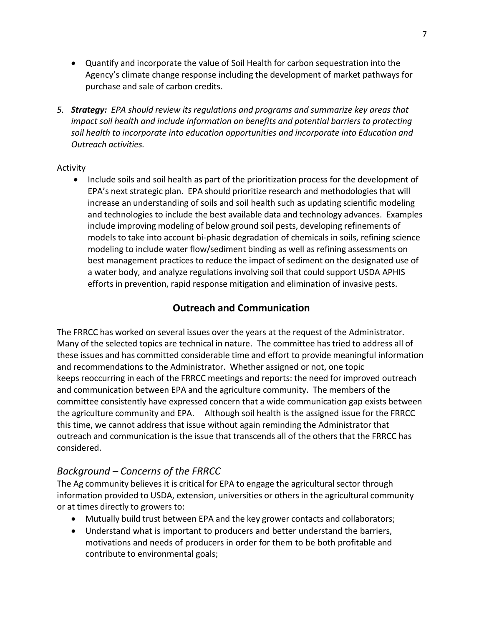- Quantify and incorporate the value of Soil Health for carbon sequestration into the Agency's climate change response including the development of market pathways for purchase and sale of carbon credits.
- *5. Strategy: EPA should review its regulations and programs and summarize key areas that impact soil health and include information on benefits and potential barriers to protecting soil health to incorporate into education opportunities and incorporate into Education and Outreach activities.*

## Activity

• Include soils and soil health as part of the prioritization process for the development of EPA's next strategic plan. EPA should prioritize research and methodologies that will increase an understanding of soils and soil health such as updating scientific modeling and technologies to include the best available data and technology advances. Examples include improving modeling of below ground soil pests, developing refinements of models to take into account bi-phasic degradation of chemicals in soils, refining science modeling to include water flow/sediment binding as well as refining assessments on best management practices to reduce the impact of sediment on the designated use of a water body, and analyze regulations involving soil that could support USDA APHIS efforts in prevention, rapid response mitigation and elimination of invasive pests.

## **Outreach and Communication**

The FRRCC has worked on several issues over the years at the request of the Administrator. Many of the selected topics are technical in nature. The committee has tried to address all of these issues and has committed considerable time and effort to provide meaningful information and recommendations to the Administrator. Whether assigned or not, one topic keeps reoccurring in each of the FRRCC meetings and reports: the need for improved outreach and communication between EPA and the agriculture community. The members of the committee consistently have expressed concern that a wide communication gap exists between the agriculture community and EPA. Although soil health is the assigned issue for the FRRCC this time, we cannot address that issue without again reminding the Administrator that outreach and communication is the issue that transcends all of the othersthat the FRRCC has considered.

## *Background – Concerns of the FRRCC*

The Ag community believes it is critical for EPA to engage the agricultural sector through information provided to USDA, extension, universities or others in the agricultural community or at times directly to growers to:

- Mutually build trust between EPA and the key grower contacts and collaborators;
- Understand what is important to producers and better understand the barriers, motivations and needs of producers in order for them to be both profitable and contribute to environmental goals;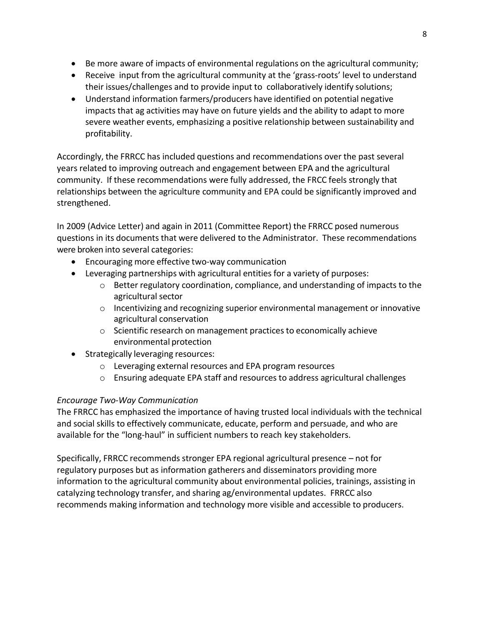- Be more aware of impacts of environmental regulations on the agricultural community;
- Receive input from the agricultural community at the 'grass-roots' level to understand their issues/challenges and to provide input to collaboratively identify solutions;
- Understand information farmers/producers have identified on potential negative impacts that ag activities may have on future yields and the ability to adapt to more severe weather events, emphasizing a positive relationship between sustainability and profitability.

Accordingly, the FRRCC has included questions and recommendations over the past several years related to improving outreach and engagement between EPA and the agricultural community. If these recommendations were fully addressed, the FRCC feels strongly that relationships between the agriculture community and EPA could be significantly improved and strengthened.

In 2009 (Advice Letter) and again in 2011 (Committee Report) the FRRCC posed numerous questions in its documents that were delivered to the Administrator. These recommendations were broken into several categories:

- Encouraging more effective two-way communication
- Leveraging partnerships with agricultural entities for a variety of purposes:
	- $\circ$  Better regulatory coordination, compliance, and understanding of impacts to the agricultural sector
	- o Incentivizing and recognizing superior environmental management or innovative agricultural conservation
	- o Scientific research on management practicesto economically achieve environmental protection
- Strategically leveraging resources:
	- o Leveraging external resources and EPA program resources
	- o Ensuring adequate EPA staff and resources to address agricultural challenges

## *Encourage Two-Way Communication*

The FRRCC has emphasized the importance of having trusted local individuals with the technical and social skills to effectively communicate, educate, perform and persuade, and who are available for the "long-haul" in sufficient numbers to reach key stakeholders.

Specifically, FRRCC recommends stronger EPA regional agricultural presence – not for regulatory purposes but as information gatherers and disseminators providing more information to the agricultural community about environmental policies, trainings, assisting in catalyzing technology transfer, and sharing ag/environmental updates. FRRCC also recommends making information and technology more visible and accessible to producers.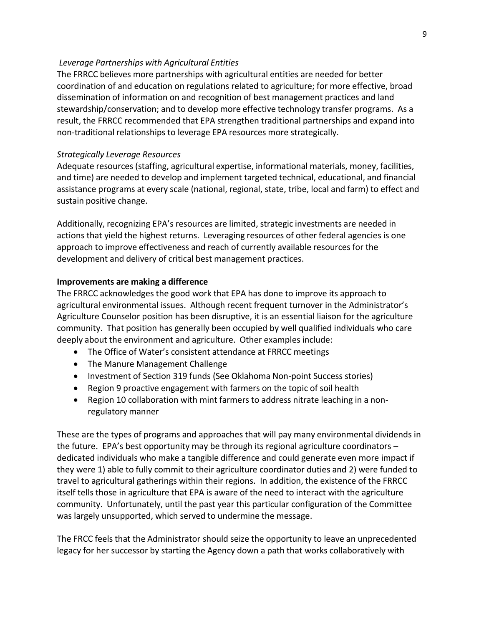#### *Leverage Partnerships with Agricultural Entities*

The FRRCC believes more partnerships with agricultural entities are needed for better coordination of and education on regulations related to agriculture; for more effective, broad dissemination of information on and recognition of best management practices and land stewardship/conservation; and to develop more effective technology transfer programs. As a result, the FRRCC recommended that EPA strengthen traditional partnerships and expand into non-traditional relationships to leverage EPA resources more strategically.

#### *Strategically Leverage Resources*

Adequate resources (staffing, agricultural expertise, informational materials, money, facilities, and time) are needed to develop and implement targeted technical, educational, and financial assistance programs at every scale (national, regional, state, tribe, local and farm) to effect and sustain positive change.

Additionally, recognizing EPA's resources are limited, strategic investments are needed in actions that yield the highest returns. Leveraging resources of other federal agencies is one approach to improve effectiveness and reach of currently available resources for the development and delivery of critical best management practices.

#### **Improvements are making a difference**

The FRRCC acknowledges the good work that EPA has done to improve its approach to agricultural environmental issues. Although recent frequent turnover in the Administrator's Agriculture Counselor position has been disruptive, it is an essential liaison for the agriculture community. That position has generally been occupied by well qualified individuals who care deeply about the environment and agriculture. Other examples include:

- The Office of Water's consistent attendance at FRRCC meetings
- The Manure Management Challenge
- Investment of Section 319 funds (See Oklahoma Non-point Success stories)
- Region 9 proactive engagement with farmers on the topic of soil health
- Region 10 collaboration with mint farmers to address nitrate leaching in a nonregulatory manner

These are the types of programs and approaches that will pay many environmental dividends in the future. EPA's best opportunity may be through its regional agriculture coordinators – dedicated individuals who make a tangible difference and could generate even more impact if they were 1) able to fully commit to their agriculture coordinator duties and 2) were funded to travel to agricultural gatherings within their regions. In addition, the existence of the FRRCC itself tells those in agriculture that EPA is aware of the need to interact with the agriculture community. Unfortunately, until the past year this particular configuration of the Committee was largely unsupported, which served to undermine the message.

The FRCC feels that the Administrator should seize the opportunity to leave an unprecedented legacy for her successor by starting the Agency down a path that works collaboratively with